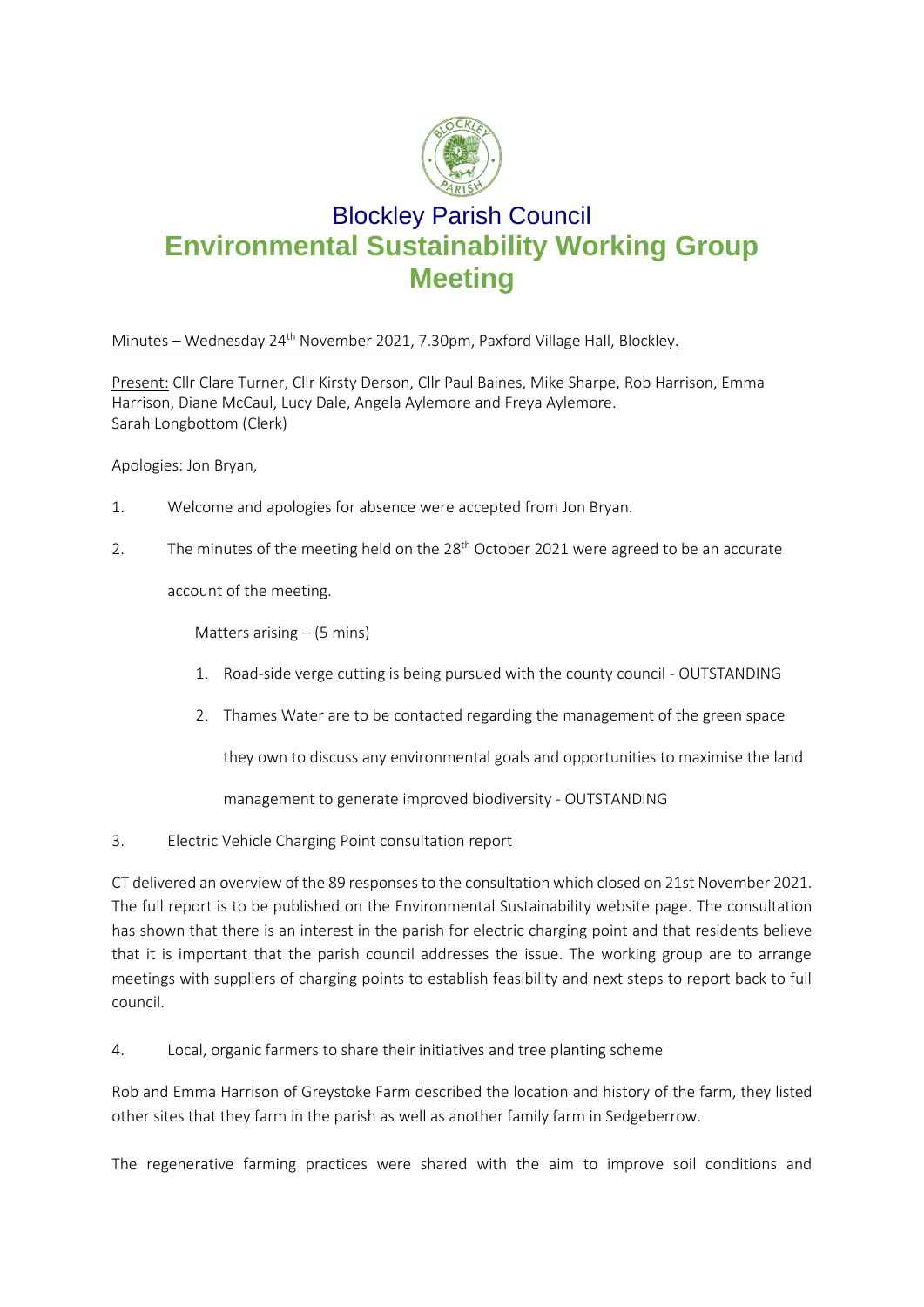

## Blockley Parish Council **Environmental Sustainability Working Group Meeting**

## Minutes – Wednesday  $24^{th}$  November 2021, 7.30pm, Paxford Village Hall, Blockley.

Present: Cllr Clare Turner, Cllr Kirsty Derson, Cllr Paul Baines, Mike Sharpe, Rob Harrison, Emma Harrison, Diane McCaul, Lucy Dale, Angela Aylemore and Freya Aylemore. Sarah Longbottom (Clerk)

Apologies: Jon Bryan,

- 1. Welcome and apologies for absence were accepted from Jon Bryan.
- 2. The minutes of the meeting held on the  $28<sup>th</sup>$  October 2021 were agreed to be an accurate

account of the meeting.

Matters arising  $-$  (5 mins)

- 1. Road-side verge cutting is being pursued with the county council OUTSTANDING
- 2. Thames Water are to be contacted regarding the management of the green space

they own to discuss any environmental goals and opportunities to maximise the land

management to generate improved biodiversity - OUTSTANDING

3. Electric Vehicle Charging Point consultation report

CT delivered an overview of the 89 responsesto the consultation which closed on 21st November 2021. The full report is to be published on the Environmental Sustainability website page. The consultation has shown that there is an interest in the parish for electric charging point and that residents believe that it is important that the parish council addresses the issue. The working group are to arrange meetings with suppliers of charging points to establish feasibility and next steps to report back to full council.

4. Local, organic farmers to share their initiatives and tree planting scheme

Rob and Emma Harrison of Greystoke Farm described the location and history of the farm, they listed other sites that they farm in the parish as well as another family farm in Sedgeberrow.

The regenerative farming practices were shared with the aim to improve soil conditions and